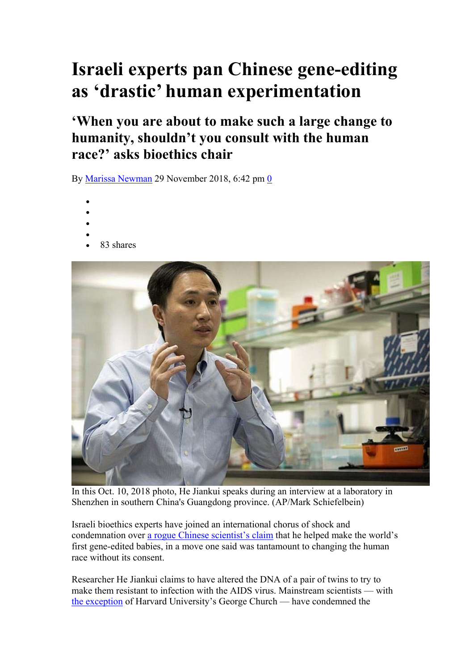## **Israeli experts pan Chinese gene-editing as 'drastic' human experimentation**

**'When you are about to make such a large change to humanity, shouldn't you consult with the human race?' asks bioethics chair** 

By Marissa Newman 29 November 2018, 6:42 pm 0

- $\bullet$
- $\bullet$
- $\bullet$
- $\bullet$
- 83 shares



In this Oct. 10, 2018 photo, He Jiankui speaks during an interview at a laboratory in Shenzhen in southern China's Guangdong province. (AP/Mark Schiefelbein)

Israeli bioethics experts have joined an international chorus of shock and condemnation over a rogue Chinese scientist's claim that he helped make the world's first gene-edited babies, in a move one said was tantamount to changing the human race without its consent.

Researcher He Jiankui claims to have altered the DNA of a pair of twins to try to make them resistant to infection with the AIDS virus. Mainstream scientists — with the exception of Harvard University's George Church — have condemned the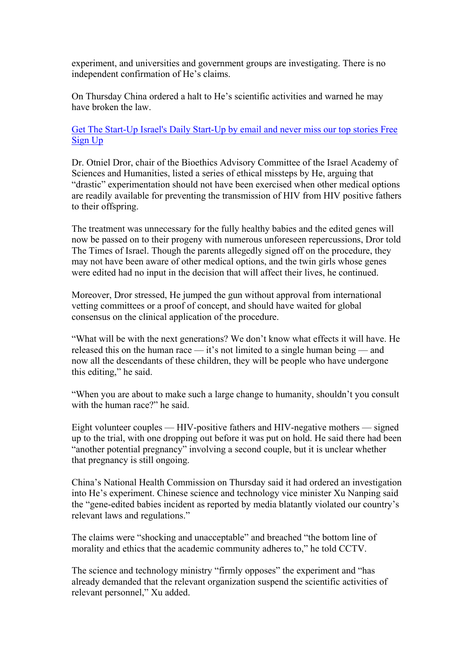experiment, and universities and government groups are investigating. There is no independent confirmation of He's claims.

On Thursday China ordered a halt to He's scientific activities and warned he may have broken the law.

Get The Start-Up Israel's Daily Start-Up by email and never miss our top stories Free Sign Up

Dr. Otniel Dror, chair of the Bioethics Advisory Committee of the Israel Academy of Sciences and Humanities, listed a series of ethical missteps by He, arguing that "drastic" experimentation should not have been exercised when other medical options are readily available for preventing the transmission of HIV from HIV positive fathers to their offspring.

The treatment was unnecessary for the fully healthy babies and the edited genes will now be passed on to their progeny with numerous unforeseen repercussions, Dror told The Times of Israel. Though the parents allegedly signed off on the procedure, they may not have been aware of other medical options, and the twin girls whose genes were edited had no input in the decision that will affect their lives, he continued.

Moreover, Dror stressed, He jumped the gun without approval from international vetting committees or a proof of concept, and should have waited for global consensus on the clinical application of the procedure.

"What will be with the next generations? We don't know what effects it will have. He released this on the human race — it's not limited to a single human being — and now all the descendants of these children, they will be people who have undergone this editing," he said.

"When you are about to make such a large change to humanity, shouldn't you consult with the human race?" he said.

Eight volunteer couples — HIV-positive fathers and HIV-negative mothers — signed up to the trial, with one dropping out before it was put on hold. He said there had been "another potential pregnancy" involving a second couple, but it is unclear whether that pregnancy is still ongoing.

China's National Health Commission on Thursday said it had ordered an investigation into He's experiment. Chinese science and technology vice minister Xu Nanping said the "gene-edited babies incident as reported by media blatantly violated our country's relevant laws and regulations."

The claims were "shocking and unacceptable" and breached "the bottom line of morality and ethics that the academic community adheres to," he told CCTV.

The science and technology ministry "firmly opposes" the experiment and "has already demanded that the relevant organization suspend the scientific activities of relevant personnel," Xu added.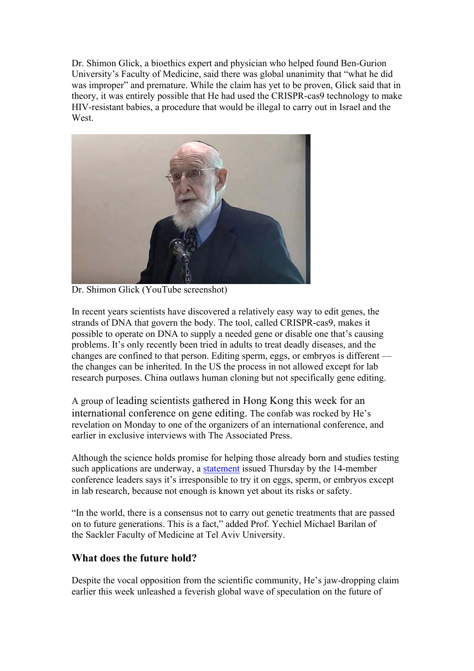Dr. Shimon Glick, a bioethics expert and physician who helped found Ben-Gurion University's Faculty of Medicine, said there was global unanimity that "what he did was improper" and premature. While the claim has yet to be proven, Glick said that in theory, it was entirely possible that He had used the CRISPR-cas9 technology to make HIV-resistant babies, a procedure that would be illegal to carry out in Israel and the West.



Dr. Shimon Glick (YouTube screenshot)

In recent years scientists have discovered a relatively easy way to edit genes, the strands of DNA that govern the body. The tool, called CRISPR-cas9, makes it possible to operate on DNA to supply a needed gene or disable one that's causing problems. It's only recently been tried in adults to treat deadly diseases, and the changes are confined to that person. Editing sperm, eggs, or embryos is different the changes can be inherited. In the US the process in not allowed except for lab research purposes. China outlaws human cloning but not specifically gene editing.

A group of leading scientists gathered in Hong Kong this week for an international conference on gene editing. The confab was rocked by He's revelation on Monday to one of the organizers of an international conference, and earlier in exclusive interviews with The Associated Press.

Although the science holds promise for helping those already born and studies testing such applications are underway, a statement issued Thursday by the 14-member conference leaders says it's irresponsible to try it on eggs, sperm, or embryos except in lab research, because not enough is known yet about its risks or safety.

"In the world, there is a consensus not to carry out genetic treatments that are passed on to future generations. This is a fact," added Prof. Yechiel Michael Barilan of the Sackler Faculty of Medicine at Tel Aviv University.

## **What does the future hold?**

Despite the vocal opposition from the scientific community, He's jaw-dropping claim earlier this week unleashed a feverish global wave of speculation on the future of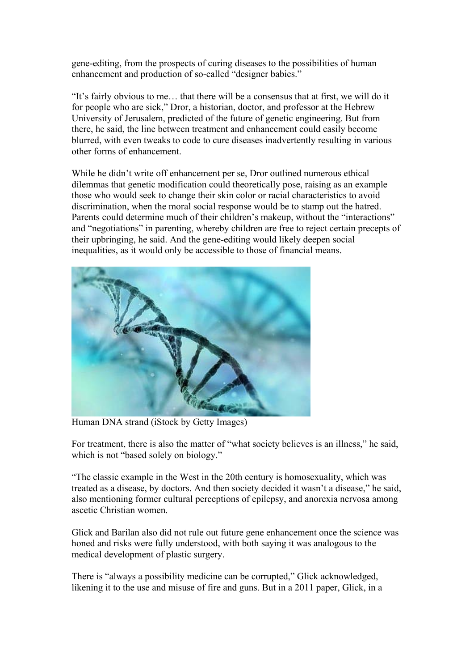gene-editing, from the prospects of curing diseases to the possibilities of human enhancement and production of so-called "designer babies."

"It's fairly obvious to me… that there will be a consensus that at first, we will do it for people who are sick," Dror, a historian, doctor, and professor at the Hebrew University of Jerusalem, predicted of the future of genetic engineering. But from there, he said, the line between treatment and enhancement could easily become blurred, with even tweaks to code to cure diseases inadvertently resulting in various other forms of enhancement.

While he didn't write off enhancement per se, Dror outlined numerous ethical dilemmas that genetic modification could theoretically pose, raising as an example those who would seek to change their skin color or racial characteristics to avoid discrimination, when the moral social response would be to stamp out the hatred. Parents could determine much of their children's makeup, without the "interactions" and "negotiations" in parenting, whereby children are free to reject certain precepts of their upbringing, he said. And the gene-editing would likely deepen social inequalities, as it would only be accessible to those of financial means.



Human DNA strand (iStock by Getty Images)

For treatment, there is also the matter of "what society believes is an illness," he said, which is not "based solely on biology."

"The classic example in the West in the 20th century is homosexuality, which was treated as a disease, by doctors. And then society decided it wasn't a disease," he said, also mentioning former cultural perceptions of epilepsy, and anorexia nervosa among ascetic Christian women.

Glick and Barilan also did not rule out future gene enhancement once the science was honed and risks were fully understood, with both saying it was analogous to the medical development of plastic surgery.

There is "always a possibility medicine can be corrupted," Glick acknowledged, likening it to the use and misuse of fire and guns. But in a 2011 paper, Glick, in a